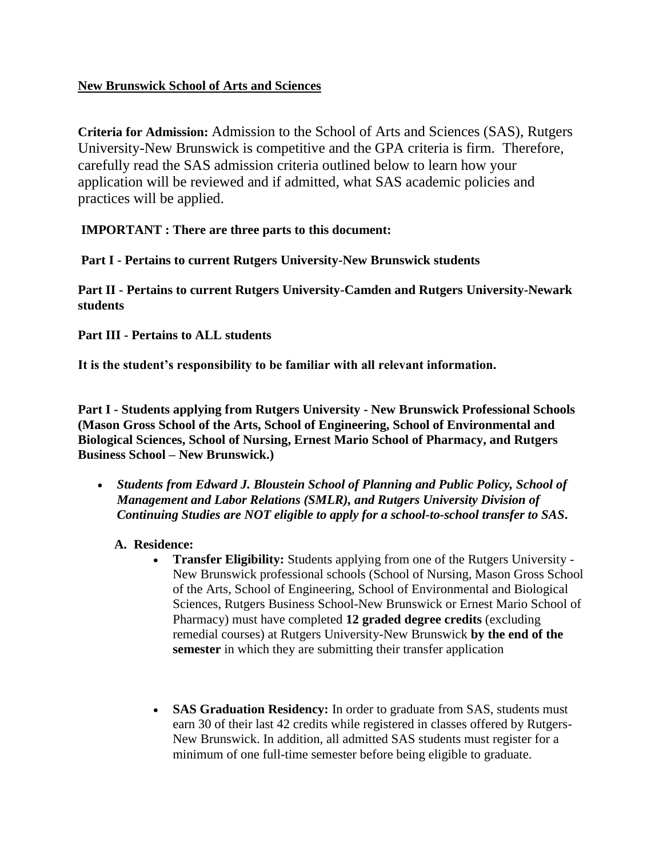# **New Brunswick School of Arts and Sciences**

**Criteria for Admission:** Admission to the School of Arts and Sciences (SAS), Rutgers University-New Brunswick is competitive and the GPA criteria is firm. Therefore, carefully read the SAS admission criteria outlined below to learn how your application will be reviewed and if admitted, what SAS academic policies and practices will be applied.

# **IMPORTANT : There are three parts to this document:**

**Part I - Pertains to current Rutgers University-New Brunswick students**

**Part II - Pertains to current Rutgers University-Camden and Rutgers University-Newark students**

**Part III - Pertains to ALL students**

**It is the student's responsibility to be familiar with all relevant information.** 

**Part I - Students applying from Rutgers University - New Brunswick Professional Schools (Mason Gross School of the Arts, School of Engineering, School of Environmental and Biological Sciences, School of Nursing, Ernest Mario School of Pharmacy, and Rutgers Business School – New Brunswick.)**

- *Students from Edward J. Bloustein School of Planning and Public Policy, School of Management and Labor Relations (SMLR), and Rutgers University Division of Continuing Studies are NOT eligible to apply for a school-to-school transfer to SAS***.**
	- **A. Residence:**
		- **Transfer Eligibility:** Students applying from one of the Rutgers University New Brunswick professional schools (School of Nursing, Mason Gross School of the Arts, School of Engineering, School of Environmental and Biological Sciences, Rutgers Business School-New Brunswick or Ernest Mario School of Pharmacy) must have completed **12 graded degree credits** (excluding remedial courses) at Rutgers University-New Brunswick **by the end of the semester** in which they are submitting their transfer application
		- **SAS Graduation Residency:** In order to graduate from SAS, students must earn 30 of their last 42 credits while registered in classes offered by Rutgers-New Brunswick. In addition, all admitted SAS students must register for a minimum of one full-time semester before being eligible to graduate.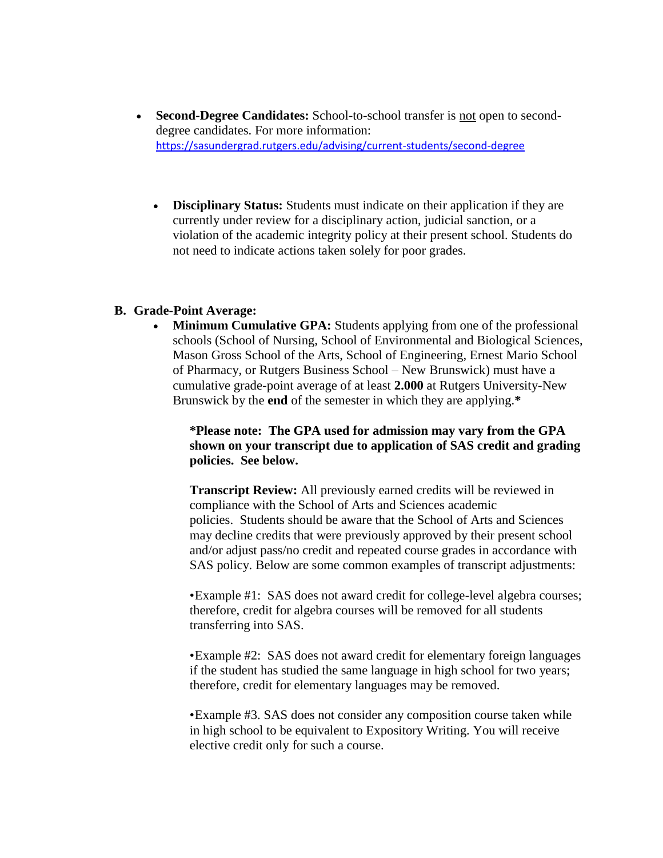- **Second-Degree Candidates:** School-to-school transfer is not open to seconddegree candidates. For more information: <https://sasundergrad.rutgers.edu/advising/current-students/second-degree>
	- **Disciplinary Status:** Students must indicate on their application if they are currently under review for a disciplinary action, judicial sanction, or a violation of the academic integrity policy at their present school. Students do not need to indicate actions taken solely for poor grades.

#### **B. Grade-Point Average:**

• **Minimum Cumulative GPA:** Students applying from one of the professional schools (School of Nursing, School of Environmental and Biological Sciences, Mason Gross School of the Arts, School of Engineering, Ernest Mario School of Pharmacy, or Rutgers Business School – New Brunswick) must have a cumulative grade-point average of at least **2.000** at Rutgers University-New Brunswick by the **end** of the semester in which they are applying.**\***

**\*Please note: The GPA used for admission may vary from the GPA shown on your transcript due to application of SAS credit and grading policies. See below.**

**Transcript Review:** All previously earned credits will be reviewed in compliance with the School of Arts and Sciences academic policies. Students should be aware that the School of Arts and Sciences may decline credits that were previously approved by their present school and/or adjust pass/no credit and repeated course grades in accordance with SAS policy. Below are some common examples of transcript adjustments:

•Example #1: SAS does not award credit for college-level algebra courses; therefore, credit for algebra courses will be removed for all students transferring into SAS.

•Example #2: SAS does not award credit for elementary foreign languages if the student has studied the same language in high school for two years; therefore, credit for elementary languages may be removed.

•Example #3. SAS does not consider any composition course taken while in high school to be equivalent to Expository Writing. You will receive elective credit only for such a course.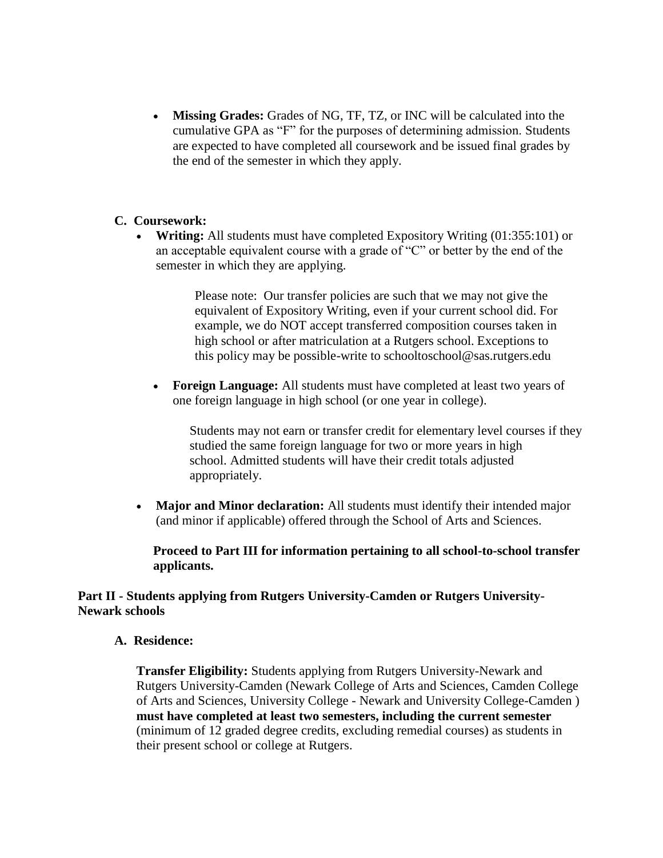**Missing Grades:** Grades of NG, TF, TZ, or INC will be calculated into the cumulative GPA as "F" for the purposes of determining admission. Students are expected to have completed all coursework and be issued final grades by the end of the semester in which they apply.

# **C. Coursework:**

 **Writing:** All students must have completed Expository Writing (01:355:101) or an acceptable equivalent course with a grade of "C" or better by the end of the semester in which they are applying.

> Please note: Our transfer policies are such that we may not give the equivalent of Expository Writing, even if your current school did. For example, we do NOT accept transferred composition courses taken in high school or after matriculation at a Rutgers school. Exceptions to this policy may be possible-write to schooltoschool@sas.rutgers.edu

 **Foreign Language:** All students must have completed at least two years of one foreign language in high school (or one year in college).

Students may not earn or transfer credit for elementary level courses if they studied the same foreign language for two or more years in high school. Admitted students will have their credit totals adjusted appropriately.

 **Major and Minor declaration:** All students must identify their intended major (and minor if applicable) offered through the School of Arts and Sciences.

**Proceed to Part III for information pertaining to all school-to-school transfer applicants.**

# **Part II - Students applying from Rutgers University-Camden or Rutgers University-Newark schools**

**A. Residence:**

**Transfer Eligibility:** Students applying from Rutgers University-Newark and Rutgers University-Camden (Newark College of Arts and Sciences, Camden College of Arts and Sciences, University College - Newark and University College-Camden ) **must have completed at least two semesters, including the current semester** (minimum of 12 graded degree credits, excluding remedial courses) as students in their present school or college at Rutgers.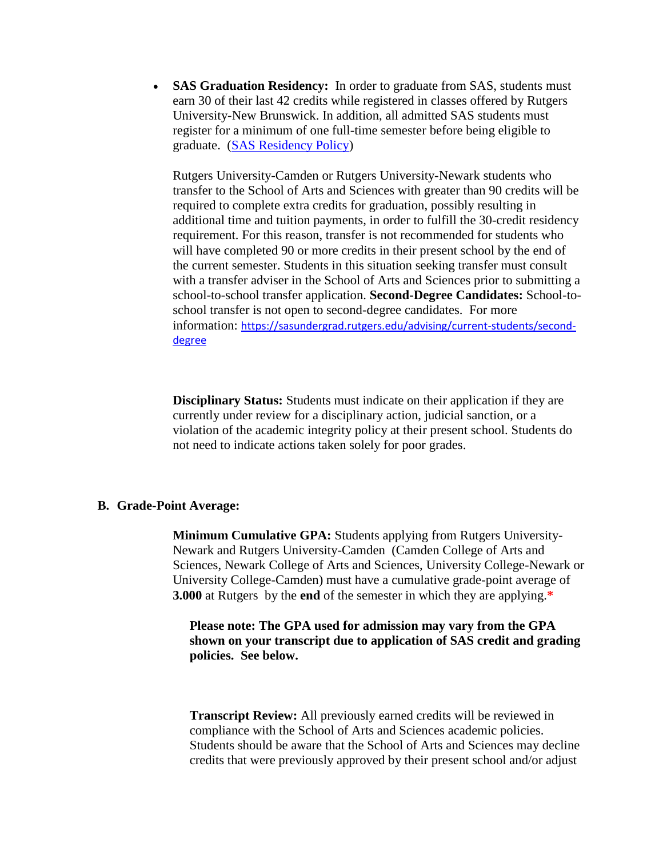• **SAS Graduation Residency:** In order to graduate from SAS, students must earn 30 of their last 42 credits while registered in classes offered by Rutgers University-New Brunswick. In addition, all admitted SAS students must register for a minimum of one full-time semester before being eligible to graduate. [\(SAS Residency Policy\)](http://sasundergrad.rutgers.edu/current-students/seniors/policies-procedures-and-information-for-seniors#residency)

Rutgers University-Camden or Rutgers University-Newark students who transfer to the School of Arts and Sciences with greater than 90 credits will be required to complete extra credits for graduation, possibly resulting in additional time and tuition payments, in order to fulfill the 30-credit residency requirement. For this reason, transfer is not recommended for students who will have completed 90 or more credits in their present school by the end of the current semester. Students in this situation seeking transfer must consult with a transfer adviser in the School of Arts and Sciences prior to submitting a school-to-school transfer application. **Second-Degree Candidates:** School-toschool transfer is not open to second-degree candidates. For more information: [https://sasundergrad.rutgers.edu/advising/current-students/second](https://sasundergrad.rutgers.edu/advising/current-students/second-degree)[degree](https://sasundergrad.rutgers.edu/advising/current-students/second-degree)

**Disciplinary Status:** Students must indicate on their application if they are currently under review for a disciplinary action, judicial sanction, or a violation of the academic integrity policy at their present school. Students do not need to indicate actions taken solely for poor grades.

#### **B. Grade-Point Average:**

**Minimum Cumulative GPA:** Students applying from Rutgers University-Newark and Rutgers University-Camden (Camden College of Arts and Sciences, Newark College of Arts and Sciences, University College-Newark or University College-Camden) must have a cumulative grade-point average of **3.000** at Rutgers by the **end** of the semester in which they are applying.**\***

**Please note: The GPA used for admission may vary from the GPA shown on your transcript due to application of SAS credit and grading policies. See below.**

**Transcript Review:** All previously earned credits will be reviewed in compliance with the School of Arts and Sciences academic policies. Students should be aware that the School of Arts and Sciences may decline credits that were previously approved by their present school and/or adjust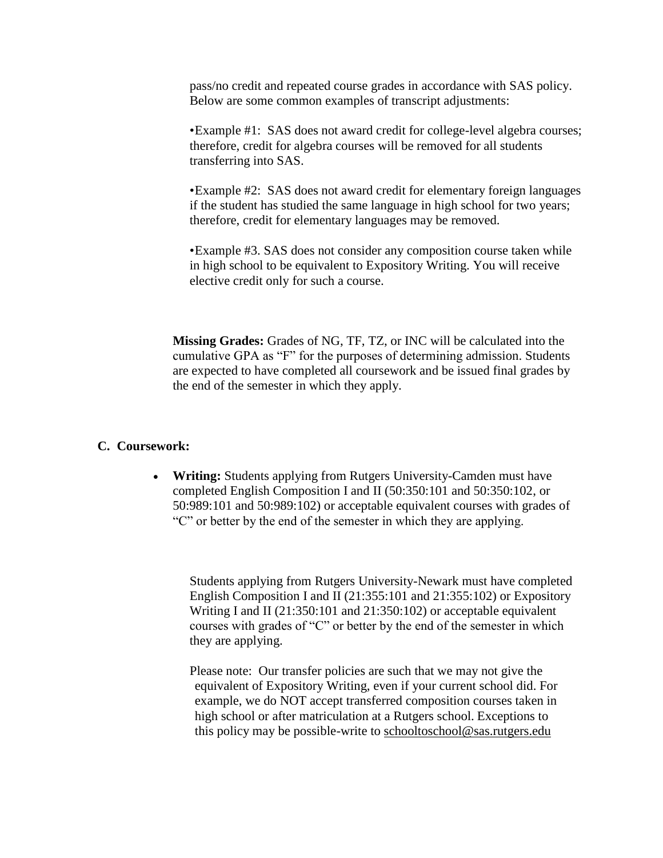pass/no credit and repeated course grades in accordance with SAS policy. Below are some common examples of transcript adjustments:

•Example #1: SAS does not award credit for college-level algebra courses; therefore, credit for algebra courses will be removed for all students transferring into SAS.

•Example #2: SAS does not award credit for elementary foreign languages if the student has studied the same language in high school for two years; therefore, credit for elementary languages may be removed.

•Example #3. SAS does not consider any composition course taken while in high school to be equivalent to Expository Writing. You will receive elective credit only for such a course.

**Missing Grades:** Grades of NG, TF, TZ, or INC will be calculated into the cumulative GPA as "F" for the purposes of determining admission. Students are expected to have completed all coursework and be issued final grades by the end of the semester in which they apply.

# **C. Coursework:**

 **Writing:** Students applying from Rutgers University-Camden must have completed English Composition I and II (50:350:101 and 50:350:102, or 50:989:101 and 50:989:102) or acceptable equivalent courses with grades of "C" or better by the end of the semester in which they are applying.

Students applying from Rutgers University-Newark must have completed English Composition I and II (21:355:101 and 21:355:102) or Expository Writing I and II (21:350:101 and 21:350:102) or acceptable equivalent courses with grades of "C" or better by the end of the semester in which they are applying.

Please note: Our transfer policies are such that we may not give the equivalent of Expository Writing, even if your current school did. For example, we do NOT accept transferred composition courses taken in high school or after matriculation at a Rutgers school. Exceptions to this policy may be possible-write to [schooltoschool@sas.rutgers.edu](mailto:schooltoschool@sas.rutgers.edu)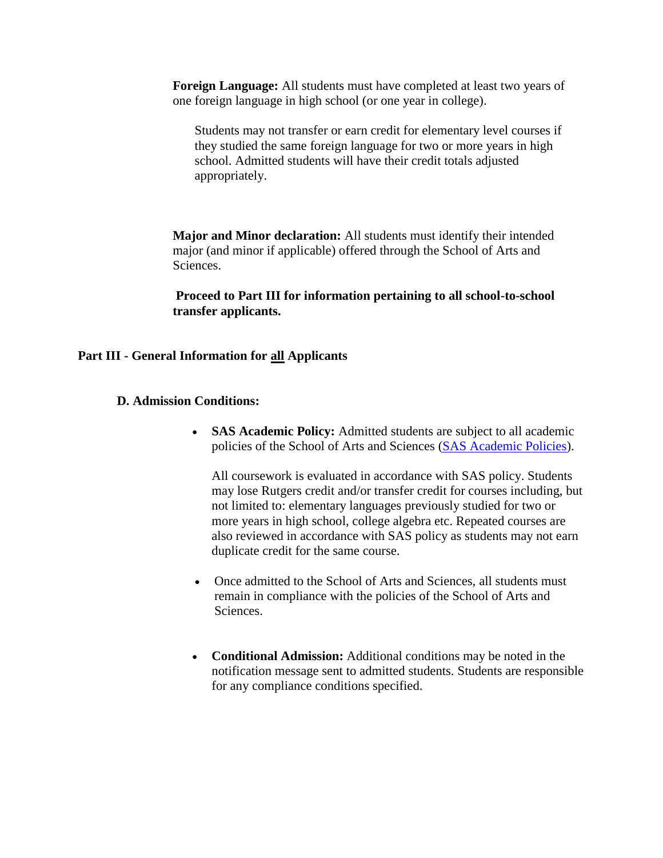**Foreign Language:** All students must have completed at least two years of one foreign language in high school (or one year in college).

Students may not transfer or earn credit for elementary level courses if they studied the same foreign language for two or more years in high school. Admitted students will have their credit totals adjusted appropriately.

**Major and Minor declaration:** All students must identify their intended major (and minor if applicable) offered through the School of Arts and Sciences.

**Proceed to Part III for information pertaining to all school-to-school transfer applicants.**

#### **Part III - General Information for all Applicants**

- **D. Admission Conditions:**
	- **SAS Academic Policy:** Admitted students are subject to all academic policies of the School of Arts and Sciences [\(SAS Academic Policies\)](https://sasundergrad.rutgers.edu/degree-requirements/policies).

All coursework is evaluated in accordance with SAS policy. Students may lose Rutgers credit and/or transfer credit for courses including, but not limited to: elementary languages previously studied for two or more years in high school, college algebra etc. Repeated courses are also reviewed in accordance with SAS policy as students may not earn duplicate credit for the same course.

- Once admitted to the School of Arts and Sciences, all students must remain in compliance with the policies of the School of Arts and Sciences.
- **Conditional Admission:** Additional conditions may be noted in the notification message sent to admitted students. Students are responsible for any compliance conditions specified.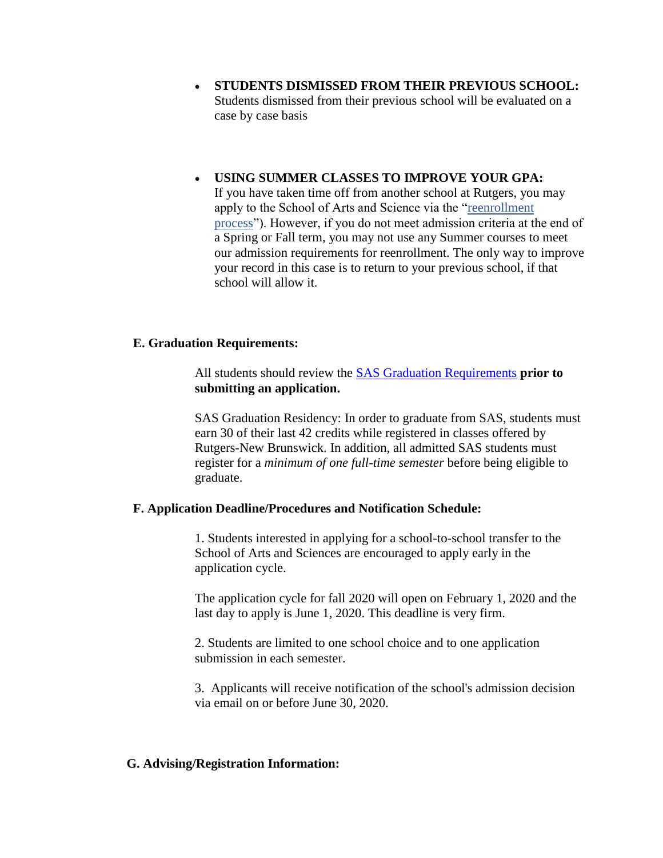- **STUDENTS DISMISSED FROM THEIR PREVIOUS SCHOOL:** Students dismissed from their previous school will be evaluated on a case by case basis
- **USING SUMMER CLASSES TO IMPROVE YOUR GPA:** If you have taken time off from another school at Rutgers, you may apply to the School of Arts and Science via the ["reenrollment](http://sasundergrad.rutgers.edu/admissions/admissions/reenrollment/reenrollment-details)  [process"](http://sasundergrad.rutgers.edu/admissions/admissions/reenrollment/reenrollment-details)). However, if you do not meet admission criteria at the end of a Spring or Fall term, you may not use any Summer courses to meet our admission requirements for reenrollment. The only way to improve your record in this case is to return to your previous school, if that school will allow it.

# **E. Graduation Requirements:**

All students should review the [SAS Graduation Requirements](https://sasundergrad.rutgers.edu/degree-requirements/requirements) **prior to submitting an application.**

SAS Graduation Residency: In order to graduate from SAS, students must earn 30 of their last 42 credits while registered in classes offered by Rutgers-New Brunswick. In addition, all admitted SAS students must register for a *minimum of one full-time semester* before being eligible to graduate.

#### **F. Application Deadline/Procedures and Notification Schedule:**

1. Students interested in applying for a school-to-school transfer to the School of Arts and Sciences are encouraged to apply early in the application cycle.

The application cycle for fall 2020 will open on February 1, 2020 and the last day to apply is June 1, 2020. This deadline is very firm.

2. Students are limited to one school choice and to one application submission in each semester.

3. Applicants will receive notification of the school's admission decision via email on or before June 30, 2020.

#### **G. Advising/Registration Information:**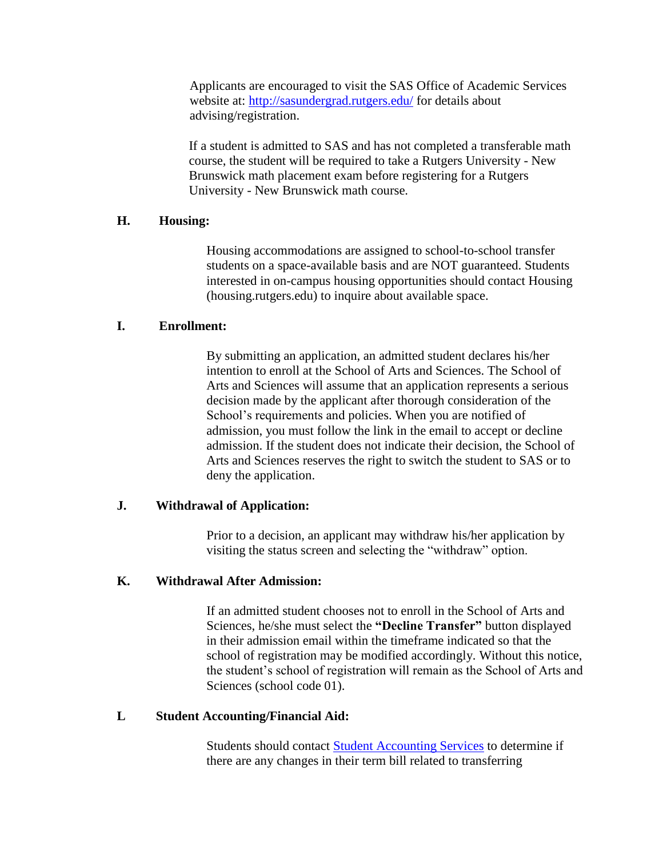Applicants are encouraged to visit the SAS Office of Academic Services website at: <http://sasundergrad.rutgers.edu/> for details about advising/registration.

If a student is admitted to SAS and has not completed a transferable math course, the student will be required to take a Rutgers University - New Brunswick math placement exam before registering for a Rutgers University - New Brunswick math course.

# **H. Housing:**

Housing accommodations are assigned to school-to-school transfer students on a space-available basis and are NOT guaranteed. Students interested in on-campus housing opportunities should contact Housing (housing.rutgers.edu) to inquire about available space.

# **I. Enrollment:**

By submitting an application, an admitted student declares his/her intention to enroll at the School of Arts and Sciences. The School of Arts and Sciences will assume that an application represents a serious decision made by the applicant after thorough consideration of the School's requirements and policies. When you are notified of admission, you must follow the link in the email to accept or decline admission. If the student does not indicate their decision, the School of Arts and Sciences reserves the right to switch the student to SAS or to deny the application.

# **J. Withdrawal of Application:**

Prior to a decision, an applicant may withdraw his/her application by visiting the status screen and selecting the "withdraw" option.

# **K. Withdrawal After Admission:**

If an admitted student chooses not to enroll in the School of Arts and Sciences, he/she must select the **"Decline Transfer"** button displayed in their admission email within the timeframe indicated so that the school of registration may be modified accordingly. Without this notice, the student's school of registration will remain as the School of Arts and Sciences (school code 01).

# **L Student Accounting/Financial Aid:**

Students should contact [Student Accounting Services](http://studentabc.rutgers.edu/) to determine if there are any changes in their term bill related to transferring